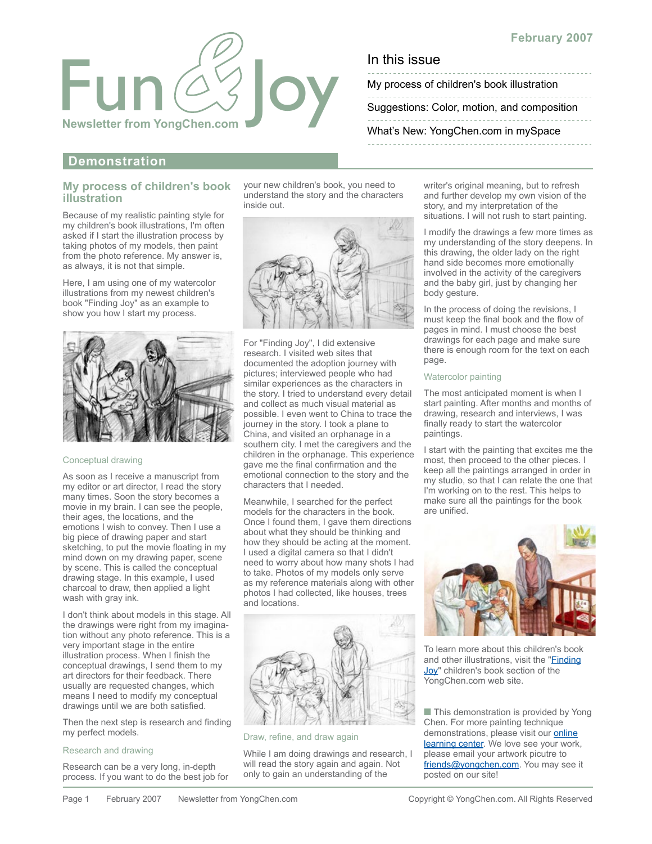

My process of children's book illustration

[Suggestions: Color, motion, and composition](#page-1-0)

[What's New: YongChen.com in mySpace](#page-1-0)

**Demonstration**

## **My process of children's book illustration**

Because of my realistic painting style for my children's book illustrations, I'm often asked if I start the illustration process by taking photos of my models, then paint from the photo reference. My answer is, as always, it is not that simple.

Here, I am using one of my watercolor illustrations from my newest children's book "Finding Joy" as an example to show you how I start my process.



### Conceptual drawing

As soon as I receive a manuscript from my editor or art director, I read the story many times. Soon the story becomes a movie in my brain. I can see the people, their ages, the locations, and the emotions I wish to convey. Then I use a big piece of drawing paper and start sketching, to put the movie floating in my mind down on my drawing paper, scene by scene. This is called the conceptual drawing stage. In this example, I used charcoal to draw, then applied a light wash with gray ink.

I don't think about models in this stage. All the drawings were right from my imagination without any photo reference. This is a very important stage in the entire illustration process. When I finish the conceptual drawings, I send them to my art directors for their feedback. There usually are requested changes, which means I need to modify my conceptual drawings until we are both satisfied.

Then the next step is research and finding my perfect models.

### Research and drawing

Research can be a very long, in-depth process. If you want to do the best job for your new children's book, you need to understand the story and the characters inside out.



For "Finding Joy", I did extensive research. I visited web sites that documented the adoption journey with pictures; interviewed people who had similar experiences as the characters in the story. I tried to understand every detail and collect as much visual material as possible. I even went to China to trace the journey in the story. I took a plane to China, and visited an orphanage in a southern city. I met the caregivers and the children in the orphanage. This experience gave me the final confirmation and the emotional connection to the story and the characters that I needed.

Meanwhile, I searched for the perfect models for the characters in the book. Once I found them, I gave them directions about what they should be thinking and how they should be acting at the moment. I used a digital camera so that I didn't need to worry about how many shots I had to take. Photos of my models only serve as my reference materials along with other photos I had collected, like houses, trees and locations.



Draw, refine, and draw again

While I am doing drawings and research, I will read the story again and again. Not only to gain an understanding of the

writer's original meaning, but to refresh and further develop my own vision of the story, and my interpretation of the situations. I will not rush to start painting.

I modify the drawings a few more times as my understanding of the story deepens. In this drawing, the older lady on the right hand side becomes more emotionally involved in the activity of the caregivers and the baby girl, just by changing her body gesture.

In the process of doing the revisions, I must keep the final book and the flow of pages in mind. I must choose the best drawings for each page and make sure there is enough room for the text on each page.

### Watercolor painting

The most anticipated moment is when I start painting. After months and months of drawing, research and interviews, I was finally ready to start the watercolor paintings.

I start with the painting that excites me the most, then proceed to the other pieces. I keep all the paintings arranged in order in my studio, so that I can relate the one that I'm working on to the rest. This helps to make sure all the paintings for the book are unified.



To learn more about this children's book [and other illustrations, visit the "Finding](http://www.yongchen.com/ch_findingjoy.htm)  Joy" children's book section of the YongChen.com web site.

■ This demonstration is provided by Yong Chen. For more painting technique demonstrations, please visit our **online** learning center. We love see your work, please email your artwork picutre to [friends@yongchen.com.](mailto:friends@yongchen.com) You may see it posted on our site!